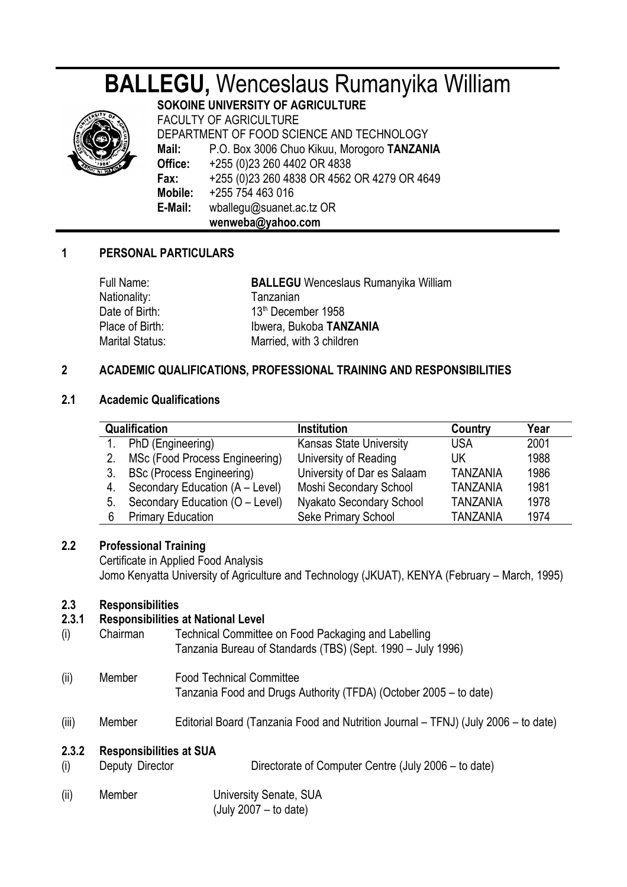# **BALLEGU,** Wenceslaus Rumanyika William



**SOKOINE UNIVERSITY OF AGRICULTURE** FACULTY OF AGRICULTURE DEPARTMENT OF FOOD SCIENCE AND TECHNOLOGY **Mail:** P.O. Box 3006 Chuo Kikuu, Morogoro **TANZANIA Office:** +255 (0)23 260 4402 OR 4838 **Fax:** +255 (0)23 260 4838 OR 4562 OR 4279 OR 4649 **Mobile:** +255 754 463 016 **E-Mail:** wballegu@suanet.ac.tz OR **wenweba@yahoo.com**

## **1 PERSONAL PARTICULARS**

| Full Name:             | <b>BALLEGU</b> Wenceslaus Rumanyika William |
|------------------------|---------------------------------------------|
| Nationality:           | Tanzanian                                   |
| Date of Birth:         | 13th December 1958                          |
| Place of Birth:        | Ibwera, Bukoba TANZANIA                     |
| <b>Marital Status:</b> | Married, with 3 children                    |

## **2 ACADEMIC QUALIFICATIONS, PROFESSIONAL TRAINING AND RESPONSIBILITIES**

#### **2.1 Academic Qualifications**

| <b>Qualification</b> |                                  | <b>Institution</b>             | Country         | Year |
|----------------------|----------------------------------|--------------------------------|-----------------|------|
|                      | PhD (Engineering)                | <b>Kansas State University</b> | <b>USA</b>      | 2001 |
| 2.                   | MSc (Food Process Engineering)   | University of Reading          | UK              | 1988 |
| 3.                   | <b>BSc (Process Engineering)</b> | University of Dar es Salaam    | <b>TANZANIA</b> | 1986 |
| 4.                   | Secondary Education (A - Level)  | Moshi Secondary School         | <b>TANZANIA</b> | 1981 |
| 5.                   | Secondary Education (O - Level)  | Nyakato Secondary School       | <b>TANZANIA</b> | 1978 |
| 6                    | <b>Primary Education</b>         | Seke Primary School            | <b>TANZANIA</b> | 1974 |

## **2.2 Professional Training**

Certificate in Applied Food Analysis Jomo Kenyatta University of Agriculture and Technology (JKUAT), KENYA (February – March, 1995)

## **2.3 Responsibilities**

## **2.3.1 Responsibilities at National Level**

- (i) Chairman Technical Committee on Food Packaging and Labelling Tanzania Bureau of Standards (TBS) (Sept. 1990 – July 1996)
- (ii) Member Food Technical Committee Tanzania Food and Drugs Authority (TFDA) (October 2005 – to date)
- (iii) Member Editorial Board (Tanzania Food and Nutrition Journal TFNJ) (July 2006 to date)

## **2.3.2 Responsibilities at SUA**

- (i) Deputy Director Directorate of Computer Centre (July 2006 to date)
- (ii) Member University Senate, SUA (July 2007 – to date)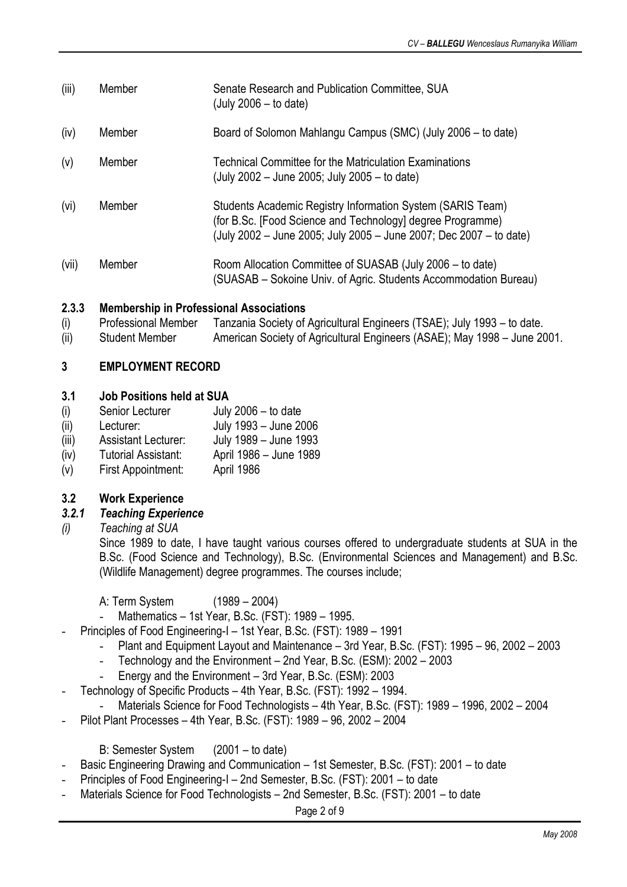- (iii) Member Senate Research and Publication Committee, SUA (July 2006 – to date)
- (iv) Member Board of Solomon Mahlangu Campus (SMC) (July 2006 to date)
- (v) Member Technical Committee for the Matriculation Examinations (July 2002 – June 2005; July 2005 – to date)
- (vi) Member Students Academic Registry Information System (SARIS Team) (for B.Sc. [Food Science and Technology] degree Programme) (July 2002 – June 2005; July 2005 – June 2007; Dec 2007 – to date)
- (vii) Member Room Allocation Committee of SUASAB (July 2006 to date) (SUASAB – Sokoine Univ. of Agric. Students Accommodation Bureau)

## **2.3.3 Membership in Professional Associations**

- (i) Professional Member Tanzania Society of Agricultural Engineers (TSAE); July 1993 to date.
- (ii) Student Member American Society of Agricultural Engineers (ASAE); May 1998 June 2001.

#### **3 EMPLOYMENT RECORD**

#### **3.1 Job Positions held at SUA**

- (i) Senior Lecturer July 2006 to date
- (ii) Lecturer: July 1993 June 2006
- (iii) Assistant Lecturer: July 1989 June 1993
- (iv) Tutorial Assistant: April 1986 June 1989
- (v) First Appointment: April 1986

## **3.2 Work Experience**

## *3.2.1 Teaching Experience*

*(i) Teaching at SUA*

Since 1989 to date, I have taught various courses offered to undergraduate students at SUA in the B.Sc. (Food Science and Technology), B.Sc. (Environmental Sciences and Management) and B.Sc. (Wildlife Management) degree programmes. The courses include;

A: Term System (1989 – 2004)

- Mathematics 1st Year, B.Sc. (FST): 1989 1995.
- Principles of Food Engineering-I 1st Year, B.Sc. (FST): 1989 1991
	- Plant and Equipment Layout and Maintenance 3rd Year, B.Sc. (FST): 1995 96, 2002 2003
	- Technology and the Environment 2nd Year, B.Sc. (ESM): 2002 2003
	- Energy and the Environment 3rd Year, B.Sc. (ESM): 2003
- Technology of Specific Products 4th Year, B.Sc. (FST): 1992 1994.
	- Materials Science for Food Technologists 4th Year, B.Sc. (FST): 1989 1996, 2002 2004
- Pilot Plant Processes 4th Year, B.Sc. (FST): 1989 96, 2002 2004

B: Semester System (2001 – to date)

- Basic Engineering Drawing and Communication 1st Semester, B.Sc. (FST): 2001 to date
- Principles of Food Engineering-I 2nd Semester, B.Sc. (FST): 2001 to date
- Materials Science for Food Technologists 2nd Semester, B.Sc. (FST): 2001 to date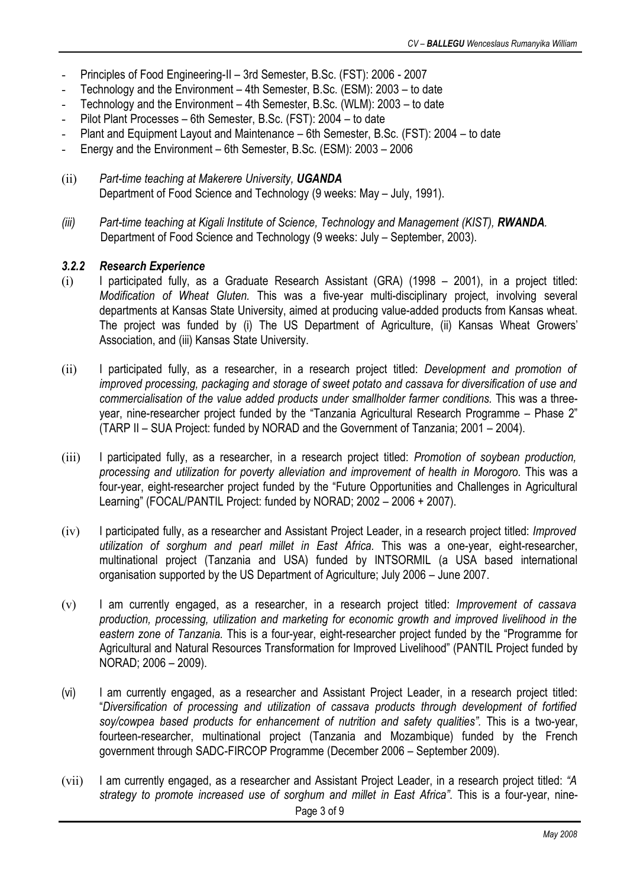- Principles of Food Engineering-II 3rd Semester, B.Sc. (FST): 2006 2007
- Technology and the Environment 4th Semester, B.Sc. (ESM): 2003 to date
- Technology and the Environment 4th Semester, B.Sc. (WLM): 2003 to date
- Pilot Plant Processes 6th Semester, B.Sc. (FST): 2004 to date
- Plant and Equipment Layout and Maintenance 6th Semester, B.Sc. (FST): 2004 to date
- Energy and the Environment 6th Semester, B.Sc. (ESM): 2003 2006
- (ii) *Part-time teaching at Makerere University, UGANDA* Department of Food Science and Technology (9 weeks: May – July, 1991).
- *(iii) Part-time teaching at Kigali Institute of Science, Technology and Management (KIST), RWANDA.* Department of Food Science and Technology (9 weeks: July – September, 2003).

#### *3.2.2 Research Experience*

- (i) I participated fully, as a Graduate Research Assistant (GRA) (1998 2001), in a project titled: *Modification of Wheat Gluten.* This was a five-year multi-disciplinary project, involving several departments at Kansas State University, aimed at producing value-added products from Kansas wheat. The project was funded by (i) The US Department of Agriculture, (ii) Kansas Wheat Growers' Association, and (iii) Kansas State University.
- (ii) I participated fully, as a researcher, in a research project titled: *Development and promotion of improved processing, packaging and storage of sweet potato and cassava for diversification of use and commercialisation of the value added products under smallholder farmer conditions.* This was a threeyear, nine-researcher project funded by the "Tanzania Agricultural Research Programme – Phase 2" (TARP II – SUA Project: funded by NORAD and the Government of Tanzania; 2001 – 2004).
- (iii) I participated fully, as a researcher, in a research project titled: *Promotion of soybean production, processing and utilization for poverty alleviation and improvement of health in Morogoro.* This was a four-year, eight-researcher project funded by the "Future Opportunities and Challenges in Agricultural Learning" (FOCAL/PANTIL Project: funded by NORAD; 2002 – 2006 + 2007).
- (iv) I participated fully, as a researcher and Assistant Project Leader, in a research project titled: *Improved utilization of sorghum and pearl millet in East Africa.* This was a one-year, eight-researcher, multinational project (Tanzania and USA) funded by INTSORMIL (a USA based international organisation supported by the US Department of Agriculture; July 2006 – June 2007.
- (v) I am currently engaged, as a researcher, in a research project titled: *Improvement of cassava production, processing, utilization and marketing for economic growth and improved livelihood in the eastern zone of Tanzania.* This is a four-year, eight-researcher project funded by the "Programme for Agricultural and Natural Resources Transformation for Improved Livelihood" (PANTIL Project funded by NORAD; 2006 – 2009).
- (vi) I am currently engaged, as a researcher and Assistant Project Leader, in a research project titled: "*Diversification of processing and utilization of cassava products through development of fortified soy/cowpea based products for enhancement of nutrition and safety qualities".* This is a two-year, fourteen-researcher, multinational project (Tanzania and Mozambique) funded by the French government through SADC-FIRCOP Programme (December 2006 – September 2009).
- (vii) I am currently engaged, as a researcher and Assistant Project Leader, in a research project titled: *"A strategy to promote increased use of sorghum and millet in East Africa"*. This is a four-year, nine-Page 3 of 9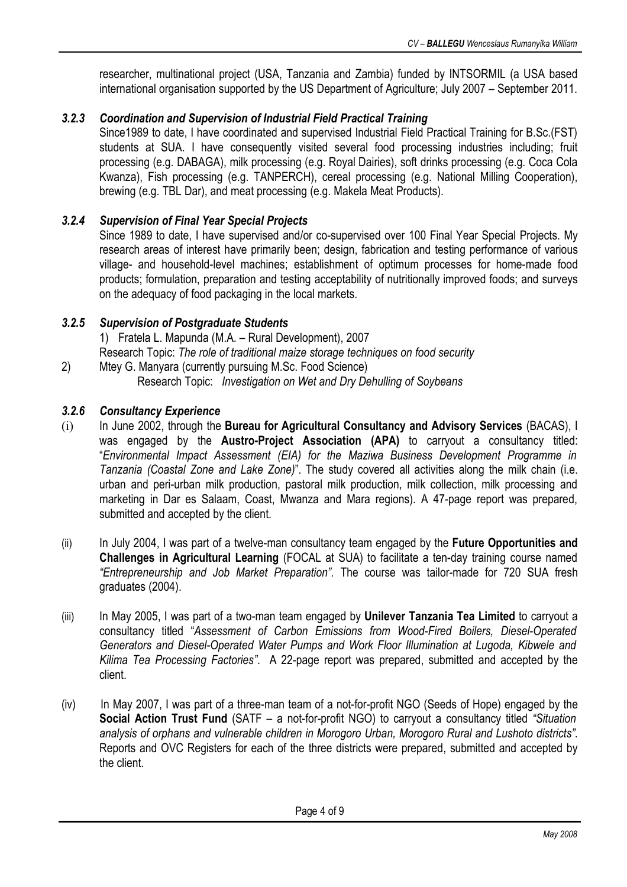researcher, multinational project (USA, Tanzania and Zambia) funded by INTSORMIL (a USA based international organisation supported by the US Department of Agriculture; July 2007 – September 2011.

# *3.2.3 Coordination and Supervision of Industrial Field Practical Training*

Since1989 to date, I have coordinated and supervised Industrial Field Practical Training for B.Sc.(FST) students at SUA. I have consequently visited several food processing industries including; fruit processing (e.g. DABAGA), milk processing (e.g. Royal Dairies), soft drinks processing (e.g. Coca Cola Kwanza), Fish processing (e.g. TANPERCH), cereal processing (e.g. National Milling Cooperation), brewing (e.g. TBL Dar), and meat processing (e.g. Makela Meat Products).

# *3.2.4 Supervision of Final Year Special Projects*

Since 1989 to date, I have supervised and/or co-supervised over 100 Final Year Special Projects. My research areas of interest have primarily been; design, fabrication and testing performance of various village- and household-level machines; establishment of optimum processes for home-made food products; formulation, preparation and testing acceptability of nutritionally improved foods; and surveys on the adequacy of food packaging in the local markets.

## *3.2.5 Supervision of Postgraduate Students*

1) Fratela L. Mapunda (M.A. – Rural Development), 2007 Research Topic: *The role of traditional maize storage techniques on food security*

2) Mtey G. Manyara (currently pursuing M.Sc. Food Science) Research Topic: *Investigation on Wet and Dry Dehulling of Soybeans*

## *3.2.6 Consultancy Experience*

- (i) In June 2002, through the **Bureau for Agricultural Consultancy and Advisory Services** (BACAS), I was engaged by the **Austro-Project Association (APA)** to carryout a consultancy titled: "*Environmental Impact Assessment (EIA) for the Maziwa Business Development Programme in Tanzania (Coastal Zone and Lake Zone)*". The study covered all activities along the milk chain (i.e. urban and peri-urban milk production, pastoral milk production, milk collection, milk processing and marketing in Dar es Salaam, Coast, Mwanza and Mara regions). A 47-page report was prepared, submitted and accepted by the client.
- (ii) In July 2004, I was part of a twelve-man consultancy team engaged by the **Future Opportunities and Challenges in Agricultural Learning** (FOCAL at SUA) to facilitate a ten-day training course named *"Entrepreneurship and Job Market Preparation".* The course was tailor-made for 720 SUA fresh graduates (2004).
- (iii) In May 2005, I was part of a two-man team engaged by **Unilever Tanzania Tea Limited** to carryout a consultancy titled "*Assessment of Carbon Emissions from Wood-Fired Boilers, Diesel-Operated Generators and Diesel-Operated Water Pumps and Work Floor Illumination at Lugoda, Kibwele and Kilima Tea Processing Factories"*. A 22-page report was prepared, submitted and accepted by the client.
- (iv) In May 2007, I was part of a three-man team of a not-for-profit NGO (Seeds of Hope) engaged by the **Social Action Trust Fund** (SATF – a not-for-profit NGO) to carryout a consultancy titled *"Situation analysis of orphans and vulnerable children in Morogoro Urban, Morogoro Rural and Lushoto districts"*. Reports and OVC Registers for each of the three districts were prepared, submitted and accepted by the client.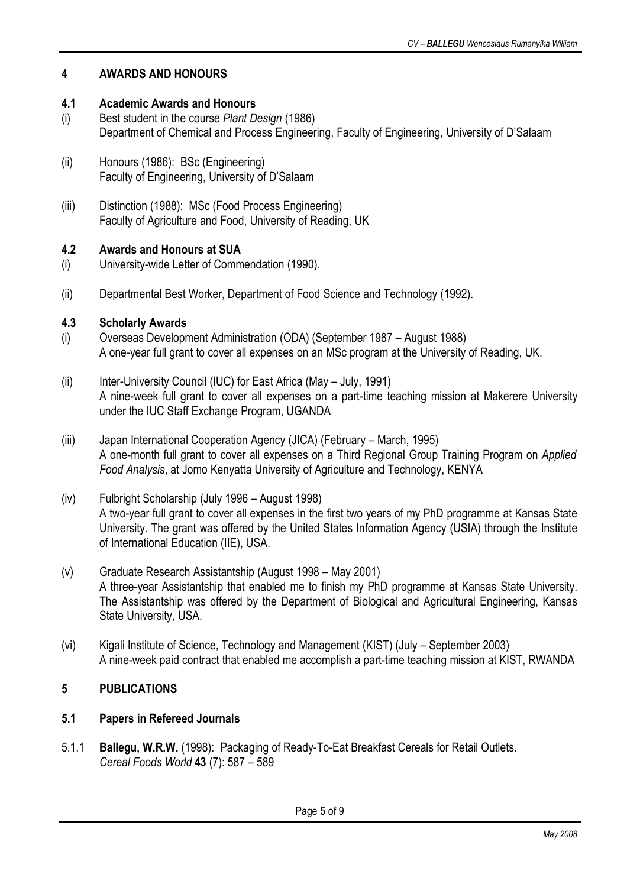# **4 AWARDS AND HONOURS**

## **4.1 Academic Awards and Honours**

- (i) Best student in the course *Plant Design* (1986) Department of Chemical and Process Engineering, Faculty of Engineering, University of D'Salaam
- (ii) Honours (1986): BSc (Engineering) Faculty of Engineering, University of D'Salaam
- (iii) Distinction (1988): MSc (Food Process Engineering) Faculty of Agriculture and Food, University of Reading, UK

## **4.2 Awards and Honours at SUA**

- (i) University-wide Letter of Commendation (1990).
- (ii) Departmental Best Worker, Department of Food Science and Technology (1992).

## **4.3 Scholarly Awards**

- (i) Overseas Development Administration (ODA) (September 1987 August 1988) A one-year full grant to cover all expenses on an MSc program at the University of Reading, UK.
- (ii) Inter-University Council (IUC) for East Africa (May July, 1991) A nine-week full grant to cover all expenses on a part-time teaching mission at Makerere University under the IUC Staff Exchange Program, UGANDA
- (iii) Japan International Cooperation Agency (JICA) (February March, 1995) A one-month full grant to cover all expenses on a Third Regional Group Training Program on *Applied Food Analysis*, at Jomo Kenyatta University of Agriculture and Technology, KENYA
- (iv) Fulbright Scholarship (July 1996 August 1998) A two-year full grant to cover all expenses in the first two years of my PhD programme at Kansas State University. The grant was offered by the United States Information Agency (USIA) through the Institute of International Education (IIE), USA.
- (v) Graduate Research Assistantship (August 1998 May 2001) A three-year Assistantship that enabled me to finish my PhD programme at Kansas State University. The Assistantship was offered by the Department of Biological and Agricultural Engineering, Kansas State University, USA.
- (vi) Kigali Institute of Science, Technology and Management (KIST) (July September 2003) A nine-week paid contract that enabled me accomplish a part-time teaching mission at KIST, RWANDA

# **5 PUBLICATIONS**

## **5.1 Papers in Refereed Journals**

5.1.1 **Ballegu, W.R.W.** (1998): Packaging of Ready-To-Eat Breakfast Cereals for Retail Outlets. *Cereal Foods World* **43** (7): 587 – 589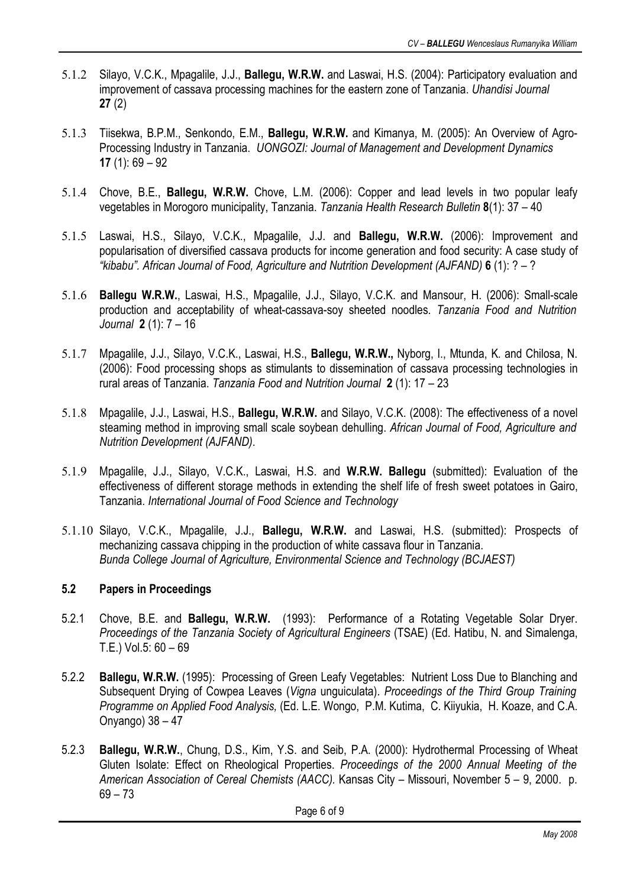- 5.1.2 Silayo, V.C.K., Mpagalile, J.J., **Ballegu, W.R.W.** and Laswai, H.S. (2004): Participatory evaluation and improvement of cassava processing machines for the eastern zone of Tanzania. *Uhandisi Journal*  **27** (2)
- 5.1.3 Tiisekwa, B.P.M., Senkondo, E.M., **Ballegu, W.R.W.** and Kimanya, M. (2005): An Overview of Agro-Processing Industry in Tanzania. *UONGOZI: Journal of Management and Development Dynamics* **17** (1): 69 – 92
- 5.1.4 Chove, B.E., **Ballegu, W.R.W.** Chove, L.M. (2006): Copper and lead levels in two popular leafy vegetables in Morogoro municipality, Tanzania. *Tanzania Health Research Bulletin* **8**(1): 37 – 40
- 5.1.5 Laswai, H.S., Silayo, V.C.K., Mpagalile, J.J. and **Ballegu, W.R.W.** (2006): Improvement and popularisation of diversified cassava products for income generation and food security: A case study of *"kibabu". African Journal of Food, Agriculture and Nutrition Development (AJFAND)* **6** (1): ? – ?
- 5.1.6 **Ballegu W.R.W.**, Laswai, H.S., Mpagalile, J.J., Silayo, V.C.K. and Mansour, H. (2006): Small-scale production and acceptability of wheat-cassava-soy sheeted noodles. *Tanzania Food and Nutrition Journal* **2** (1): 7 – 16
- 5.1.7 Mpagalile, J.J., Silayo, V.C.K., Laswai, H.S., **Ballegu, W.R.W.,** Nyborg, I., Mtunda, K. and Chilosa, N. (2006): Food processing shops as stimulants to dissemination of cassava processing technologies in rural areas of Tanzania. *Tanzania Food and Nutrition Journal* **2** (1): 17 – 23
- 5.1.8 Mpagalile, J.J., Laswai, H.S., **Ballegu, W.R.W.** and Silayo, V.C.K. (2008): The effectiveness of a novel steaming method in improving small scale soybean dehulling. *African Journal of Food, Agriculture and Nutrition Development (AJFAND)*.
- 5.1.9 Mpagalile, J.J., Silayo, V.C.K., Laswai, H.S. and **W.R.W. Ballegu** (submitted): Evaluation of the effectiveness of different storage methods in extending the shelf life of fresh sweet potatoes in Gairo, Tanzania. *International Journal of Food Science and Technology*
- 5.1.10 Silayo, V.C.K., Mpagalile, J.J., **Ballegu, W.R.W.** and Laswai, H.S. (submitted): Prospects of mechanizing cassava chipping in the production of white cassava flour in Tanzania. *Bunda College Journal of Agriculture, Environmental Science and Technology (BCJAEST)*

## **5.2 Papers in Proceedings**

- 5.2.1 Chove, B.E. and **Ballegu, W.R.W.** (1993): Performance of a Rotating Vegetable Solar Dryer. *Proceedings of the Tanzania Society of Agricultural Engineers* (TSAE) (Ed. Hatibu, N. and Simalenga, T.E.) Vol.5: 60 – 69
- 5.2.2 **Ballegu, W.R.W.** (1995): Processing of Green Leafy Vegetables: Nutrient Loss Due to Blanching and Subsequent Drying of Cowpea Leaves (*Vigna* unguiculata). *Proceedings of the Third Group Training Programme on Applied Food Analysis,* (Ed. L.E. Wongo, P.M. Kutima, C. Kiiyukia, H. Koaze, and C.A. Onyango) 38 – 47
- 5.2.3 **Ballegu, W.R.W.**, Chung, D.S., Kim, Y.S. and Seib, P.A. (2000): Hydrothermal Processing of Wheat Gluten Isolate: Effect on Rheological Properties. *Proceedings of the 2000 Annual Meeting of the American Association of Cereal Chemists (AACC).* Kansas City – Missouri, November 5 – 9, 2000. p.  $69 - 73$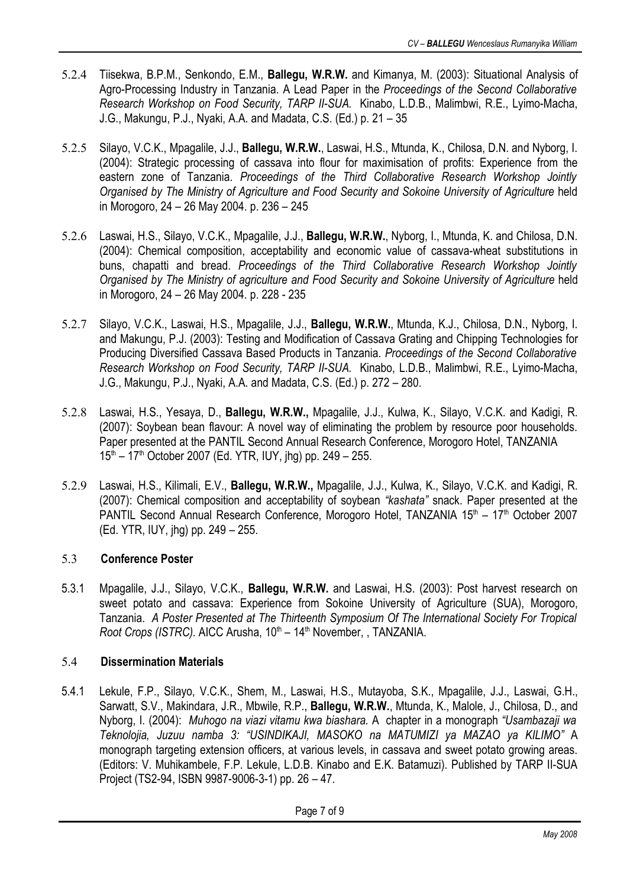- 5.2.4 Tiisekwa, B.P.M., Senkondo, E.M., **Ballegu, W.R.W.** and Kimanya, M. (2003): Situational Analysis of Agro-Processing Industry in Tanzania. A Lead Paper in the *Proceedings of the Second Collaborative Research Workshop on Food Security, TARP II-SUA.* Kinabo, L.D.B., Malimbwi, R.E., Lyimo-Macha, J.G., Makungu, P.J., Nyaki, A.A. and Madata, C.S. (Ed.) p. 21 – 35
- 5.2.5 Silayo, V.C.K., Mpagalile, J.J., **Ballegu, W.R.W.**, Laswai, H.S., Mtunda, K., Chilosa, D.N. and Nyborg, I. (2004): Strategic processing of cassava into flour for maximisation of profits: Experience from the eastern zone of Tanzania. *Proceedings of the Third Collaborative Research Workshop Jointly Organised by The Ministry of Agriculture and Food Security and Sokoine University of Agriculture* held in Morogoro, 24 – 26 May 2004. p. 236 – 245
- 5.2.6 Laswai, H.S., Silayo, V.C.K., Mpagalile, J.J., **Ballegu, W.R.W.**, Nyborg, I., Mtunda, K. and Chilosa, D.N. (2004): Chemical composition, acceptability and economic value of cassava-wheat substitutions in buns, chapatti and bread. *Proceedings of the Third Collaborative Research Workshop Jointly Organised by The Ministry of agriculture and Food Security and Sokoine University of Agriculture* held in Morogoro, 24 – 26 May 2004. p. 228 - 235
- 5.2.7 Silayo, V.C.K., Laswai, H.S., Mpagalile, J.J., **Ballegu, W.R.W.**, Mtunda, K.J., Chilosa, D.N., Nyborg, I. and Makungu, P.J. (2003): Testing and Modification of Cassava Grating and Chipping Technologies for Producing Diversified Cassava Based Products in Tanzania. *Proceedings of the Second Collaborative Research Workshop on Food Security, TARP II-SUA.* Kinabo, L.D.B., Malimbwi, R.E., Lyimo-Macha, J.G., Makungu, P.J., Nyaki, A.A. and Madata, C.S. (Ed.) p. 272 – 280.
- 5.2.8 Laswai, H.S., Yesaya, D., **Ballegu, W.R.W.,** Mpagalile, J.J., Kulwa, K., Silayo, V.C.K. and Kadigi, R. (2007): Soybean bean flavour: A novel way of eliminating the problem by resource poor households. Paper presented at the PANTIL Second Annual Research Conference, Morogoro Hotel, TANZANIA 15<sup>th</sup> – 17<sup>th</sup> October 2007 (Ed. YTR, IUY, jhg) pp. 249 – 255.
- 5.2.9 Laswai, H.S., Kilimali, E.V., **Ballegu, W.R.W.,** Mpagalile, J.J., Kulwa, K., Silayo, V.C.K. and Kadigi, R. (2007): Chemical composition and acceptability of soybean *"kashata"* snack. Paper presented at the PANTIL Second Annual Research Conference, Morogoro Hotel, TANZANIA 15<sup>th</sup> - 17<sup>th</sup> October 2007 (Ed. YTR, IUY, jhg) pp. 249 – 255.

## 5.3 **Conference Poster**

5.3.1 Mpagalile, J.J., Silayo, V.C.K., **Ballegu, W.R.W.** and Laswai, H.S. (2003): Post harvest research on sweet potato and cassava: Experience from Sokoine University of Agriculture (SUA), Morogoro, Tanzania. *A Poster Presented at The Thirteenth Symposium Of The International Society For Tropical* Root Crops (ISTRC). AICC Arusha, 10<sup>th</sup> – 14<sup>th</sup> November, , TANZANIA.

## 5.4 **Dissermination Materials**

5.4.1 Lekule, F.P., Silayo, V.C.K., Shem, M., Laswai, H.S., Mutayoba, S.K., Mpagalile, J.J., Laswai, G.H., Sarwatt, S.V., Makindara, J.R., Mbwile, R.P., **Ballegu, W.R.W.**, Mtunda, K., Malole, J., Chilosa, D., and Nyborg, I. (2004): *Muhogo na viazi vitamu kwa biashara.* A chapter in a monograph *"Usambazaji wa Teknolojia, Juzuu namba 3: "USINDIKAJI, MASOKO na MATUMIZI ya MAZAO ya KILIMO"* A monograph targeting extension officers, at various levels, in cassava and sweet potato growing areas. (Editors: V. Muhikambele, F.P. Lekule, L.D.B. Kinabo and E.K. Batamuzi). Published by TARP II-SUA Project (TS2-94, ISBN 9987-9006-3-1) pp. 26 – 47.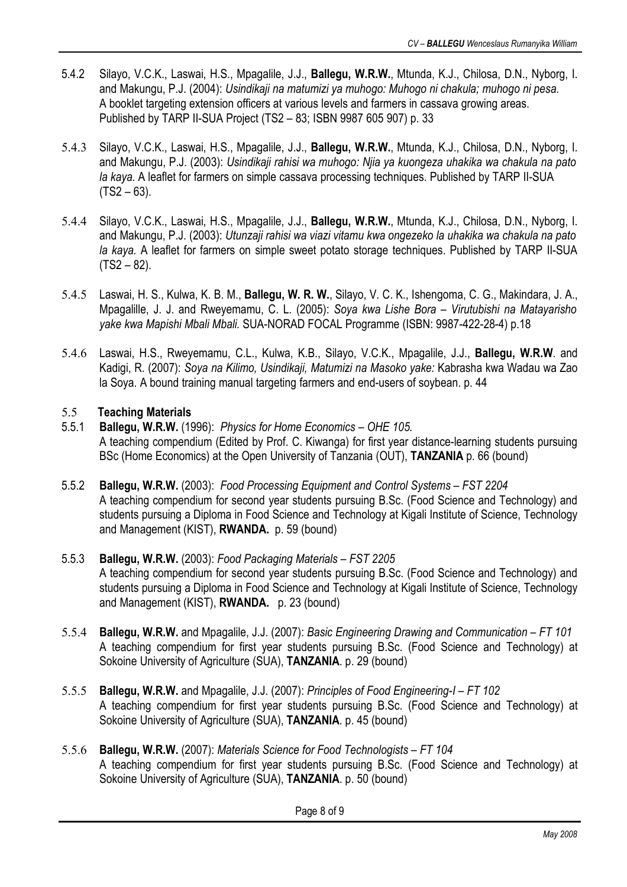- 5.4.2 Silayo, V.C.K., Laswai, H.S., Mpagalile, J.J., **Ballegu, W.R.W.**, Mtunda, K.J., Chilosa, D.N., Nyborg, I. and Makungu, P.J. (2004): *Usindikaji na matumizi ya muhogo: Muhogo ni chakula; muhogo ni pesa.* A booklet targeting extension officers at various levels and farmers in cassava growing areas. Published by TARP II-SUA Project (TS2 – 83; ISBN 9987 605 907) p. 33
- 5.4.3 Silayo, V.C.K., Laswai, H.S., Mpagalile, J.J., **Ballegu, W.R.W.**, Mtunda, K.J., Chilosa, D.N., Nyborg, I. and Makungu, P.J. (2003): *Usindikaji rahisi wa muhogo: Njia ya kuongeza uhakika wa chakula na pato la kaya.* A leaflet for farmers on simple cassava processing techniques. Published by TARP II-SUA  $(TS2 - 63)$ .
- 5.4.4 Silayo, V.C.K., Laswai, H.S., Mpagalile, J.J., **Ballegu, W.R.W.**, Mtunda, K.J., Chilosa, D.N., Nyborg, I. and Makungu, P.J. (2003): *Utunzaji rahisi wa viazi vitamu kwa ongezeko la uhakika wa chakula na pato la kaya.* A leaflet for farmers on simple sweet potato storage techniques. Published by TARP II-SUA  $(TS2 - 82)$ .
- 5.4.5 Laswai, H. S., Kulwa, K. B. M., **Ballegu, W. R. W.**, Silayo, V. C. K., Ishengoma, C. G., Makindara, J. A., Mpagalille, J. J. and Rweyemamu, C. L. (2005): *Soya kwa Lishe Bora – Virutubishi na Matayarisho yake kwa Mapishi Mbali Mbali.* SUA-NORAD FOCAL Programme (ISBN: 9987-422-28-4) p.18
- 5.4.6 Laswai, H.S., Rweyemamu, C.L., Kulwa, K.B., Silayo, V.C.K., Mpagalile, J.J., **Ballegu, W.R.W**. and Kadigi, R. (2007): *Soya na Kilimo, Usindikaji, Matumizi na Masoko yake:* Kabrasha kwa Wadau wa Zao la Soya. A bound training manual targeting farmers and end-users of soybean. p. 44

## 5.5 **Teaching Materials**

- 5.5.1 **Ballegu, W.R.W.** (1996): *Physics for Home Economics OHE 105.* A teaching compendium (Edited by Prof. C. Kiwanga) for first year distance-learning students pursuing BSc (Home Economics) at the Open University of Tanzania (OUT), **TANZANIA** p. 66 (bound)
- 5.5.2 **Ballegu, W.R.W.** (2003): *Food Processing Equipment and Control Systems FST 2204* A teaching compendium for second year students pursuing B.Sc. (Food Science and Technology) and students pursuing a Diploma in Food Science and Technology at Kigali Institute of Science, Technology and Management (KIST), **RWANDA.** p. 59 (bound)
- 5.5.3 **Ballegu, W.R.W.** (2003): *Food Packaging Materials FST 2205* A teaching compendium for second year students pursuing B.Sc. (Food Science and Technology) and students pursuing a Diploma in Food Science and Technology at Kigali Institute of Science, Technology and Management (KIST), **RWANDA.** p. 23 (bound)
- 5.5.4 **Ballegu, W.R.W.** and Mpagalile, J.J. (2007): *Basic Engineering Drawing and Communication FT 101* A teaching compendium for first year students pursuing B.Sc. (Food Science and Technology) at Sokoine University of Agriculture (SUA), **TANZANIA**. p. 29 (bound)
- 5.5.5 **Ballegu, W.R.W.** and Mpagalile, J.J. (2007): *Principles of Food Engineering-I FT 102* A teaching compendium for first year students pursuing B.Sc. (Food Science and Technology) at Sokoine University of Agriculture (SUA), **TANZANIA**. p. 45 (bound)
- 5.5.6 **Ballegu, W.R.W.** (2007): *Materials Science for Food Technologists FT 104* A teaching compendium for first year students pursuing B.Sc. (Food Science and Technology) at Sokoine University of Agriculture (SUA), **TANZANIA**. p. 50 (bound)